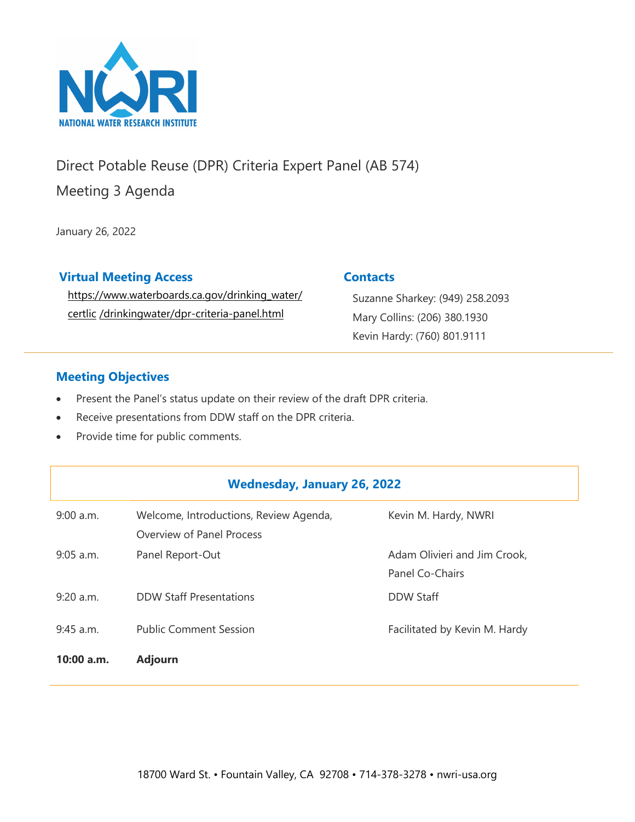

# Direct Potable Reuse (DPR) Criteria Expert Panel (AB 574)

Meeting 3 Agenda

January 26, 2022

## **Virtual Meeting Access**

[https://www.waterboards.ca.gov/drinking\\_water/](https://www.waterboards.ca.gov/drinking_water/certlic/drinkingwater/dpr-criteria-panel.html) certlic [/drinkingwater/dpr-criteria-pane](https://www.waterboards.ca.gov/drinking_water/certlic/drinkingwater/dpr-criteria-panel.html)l.html

## **Contacts**

Suzanne Sharkey: (949) 258.2093 Mary Collins: (206) 380.1930 Kevin Hardy: (760) 801.9111

## **Meeting Objectives**

- Present the Panel's status update on their review of the draft DPR criteria.
- Receive presentations from DDW staff on the DPR criteria.
- Provide time for public comments.

## **Wednesday, January 26, 2022**

| $9:00$ a.m.  | Welcome, Introductions, Review Agenda,<br>Overview of Panel Process | Kevin M. Hardy, NWRI                            |
|--------------|---------------------------------------------------------------------|-------------------------------------------------|
| $9:05$ a.m.  | Panel Report-Out                                                    | Adam Olivieri and Jim Crook,<br>Panel Co-Chairs |
| $9:20$ a.m.  | <b>DDW Staff Presentations</b>                                      | <b>DDW Staff</b>                                |
| $9:45$ a.m.  | <b>Public Comment Session</b>                                       | Facilitated by Kevin M. Hardy                   |
| $10:00$ a.m. | <b>Adjourn</b>                                                      |                                                 |